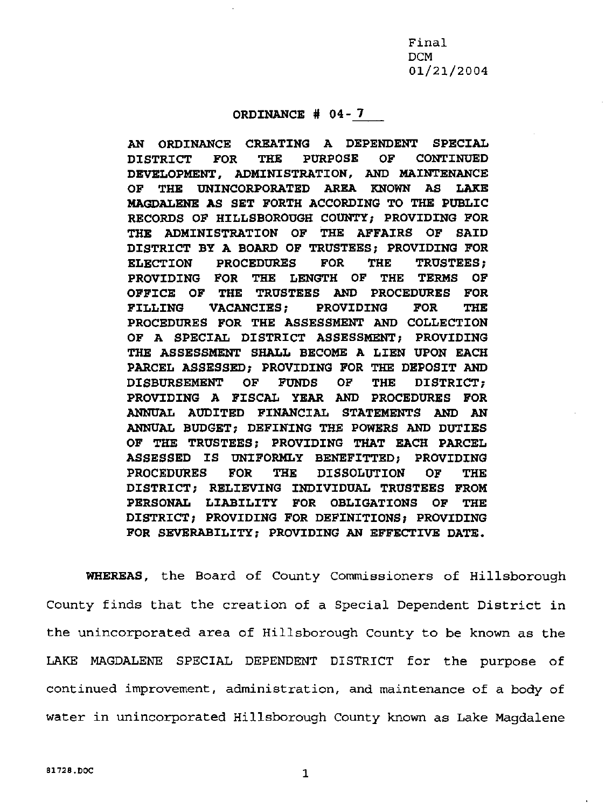Final DCM 01/21/2004

#### ORDINANCE # 04-7

AN ORDINANCE CREATING A DEPENDENT SPECIAL DISTRICT FOR THE PURPOSE OF CONTINUED DEVELOPMENT, ADMINISTRATION, AND MAINTENANCE OF THE UNINCORPORATED AREA KNOWN AS LAXE MAGDALENE AS SET FORTH ACCORDING TO THE PUBLIC RECORDS OF HILLSBOROUGH COUNTY; PROVIDING FOR THE ADMINISTRATION OF THE AFFAIRS OF SAID DISTRICT BY A BOARD OF TRUSTEES; PROVIDING FOR ELECTION PROCEDURES FOR THE TRUSTEES; PROVIDING FOR THE LENGTH OF THE TERMS OF OFFICE OF THE TRUSTEES AND PROCEDURES FOR FILLING VACANCIES; PROVIDING FOR THE PROCEDURES FOR THE ASSESSMENT AND COLLECTION OF A SPECIAL DISTRICT ASSESSMENT; PROVIDING THE ASSESSMENT SHALL BECOME A LIEN UPON EACH PARCEL ASSESSED; PROVIDING FOR THE DEPOSIT AND DISBURSEMENT OF FUNDS OF THE DISTRICT; PROVIDING A FISCAL YEAR AND PROCEDURES FOR ANNUAL AUDITED FINANCIAL STATEMENTS AND AN ANNUAL BUDGET; DEFINING THE POWERS AND DUTIES OF THE TRUSTEES; PROVIDING THAT EACH PARCEL ASSESSED IS UNIFORMLY BENEFITTED; PROVIDING PROCEDURES FOR THE DISSOLUTION OF THE DISTRICT; RELIEVING INDIVIDUAL TRUSTEES FROM PERSONAL LIABILITY FOR OBLIGATIONS OF THE DISTRICT; PROVIDING FOR DEFINITIONS; PROVIDING FOR SEVERABILITY; PROVIDING AN EFFECTIVE DATE.

WHEREAS, the Board of County Commissioners of Hillsborough County finds that the creation of a Special Dependent District in the unincorporated area of Hillsborough County to be known as the LAKE MAGDALENE SPECIAL DEPENDENT DISTRICT for the purpose of continued improvement, administration, and maintenance of a body of water in unincorporated Hillsborough County known as Lake Magdalene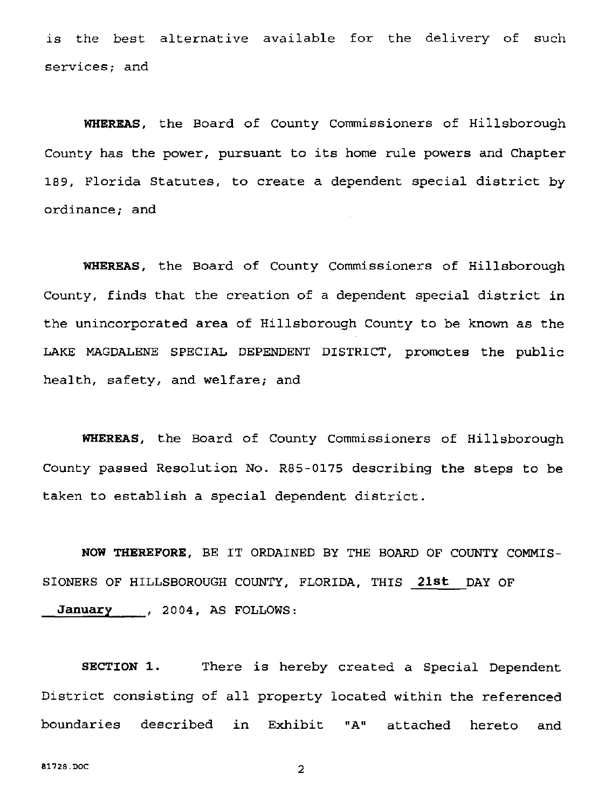is the best alternative available for the delivery of such **services; and** 

**WHEREAS,** the Board of County Commissioners of Hillsborough County has the power, pursuant to its home rule powers and Chapter 189, Florida Statutes, to create a dependent special district by ordinance; and

**WHEREAS,** the Board of County Commissioners of Hillsborough County, finds that the creation of a dependent special district in the unincorporated area of Hillsborough County to be known as the LAKE MAGDALENE SPECIAL DEPENDENT DISTRICT, promotes the public health, safety, and welfare; and

**WHEREAS,** the Board of County Commissioners of Hillsborough County passed Resolution No. RBS-0175 describing the steps to be taken to establish a special dependent district.

**NOW THEREFORE,** BE IT ORDAINED BY THE BOARD OF COUNTY COMMIS-SIONERS OF HILLSBOROUGH COUNTY, FLORIDA, THIS **21st** DAY OF **January** , 2004, AS FOLLOWS:

**SECTION 1.** There is hereby created a Special Dependent District consisting of all property located within the referenced boundaries described in Exhibit **"An** attached hereto and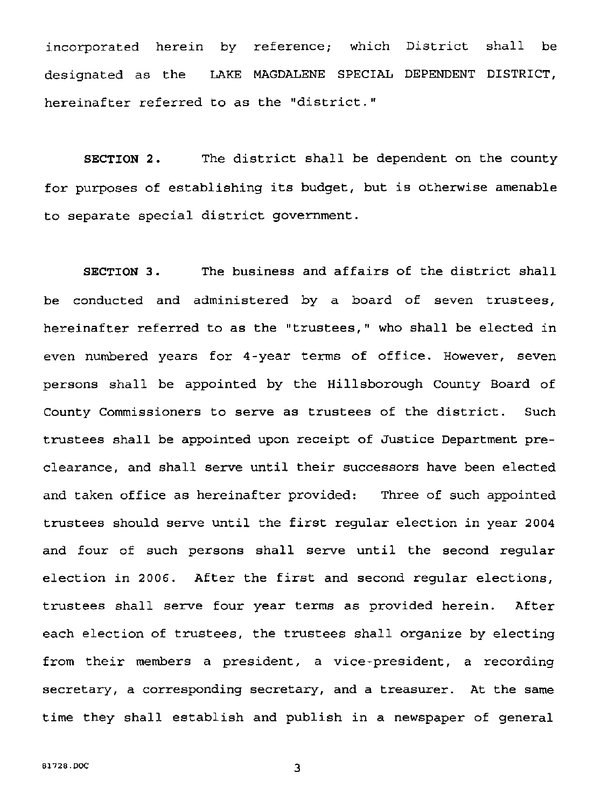incorporated herein by reference; which District shall be designated as the LAKE MAGDALENE SPECIAL DEPENDENT DISTRICT, hereinafter referred to as the "district."

**SECTION 2.** The district shall be dependent on the county for purposes of establishing its budget, but is otherwise amenable to separate special district government.

**SECTION 3.** The business and affairs of the district shall be conducted and administered by a board of seven trustees, hereinafter referred to as the "trustees," who shall be elected in even numbered years for 4-year terms of office. However, seven persons shall be appointed by the Hillsborough County Board of County Commissioners to serve as trustees of the district. Such trustees shall be appointed upon receipt of Justice Department preclearance, and shall serve until their successors have been elected and taken office as hereinafter provided: Three of such appointed trustees should serve until the first regular election in year 2004 and four of such persons shall serve until the second regular election in 2006. After the first and second regular elections, trustees shall serve four year terms as provided herein. After each election of trustees, the trustees shall organize by electing from their members a president, a vice-president, a recording secretary, a corresponding secretary, and a treasurer. At the same time they shall establish and publish in a newspaper of general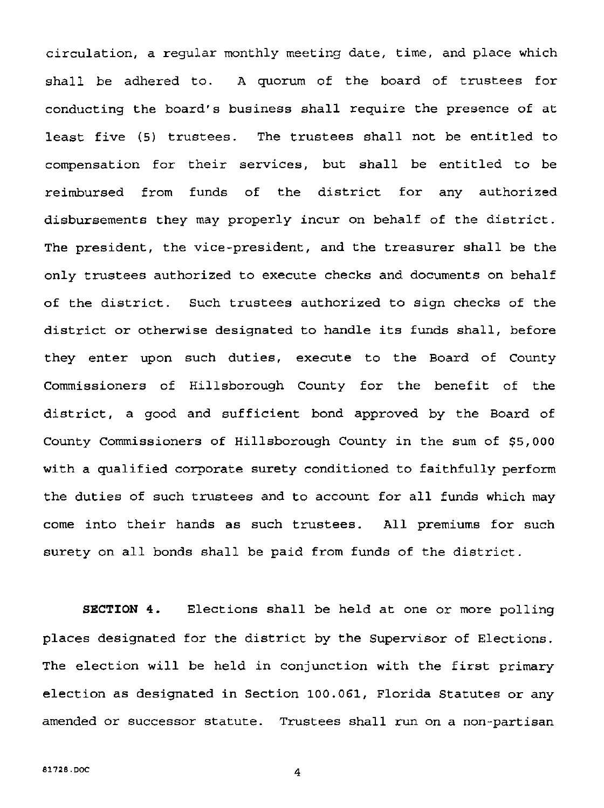circulation, a regular monthly meeting date, time, and place which shall be adhered to. A quorum of the board of trustees for conducting the board's business shall require the presence of at least five (5) trustees. The trustees shall not be entitled to compensation for their services, but shall be entitled to be reimbursed from funds of the district for any authorized disbursements they may properly incur on behalf of the district. The president, the vice-president, and the treasurer shall be the only trustees authorized to execute checks and documents on behalf of the district. Such trustees authorized to sign checks of the district or otherwise designated to handle its funds shall, before they enter upon such duties, execute to the Board of County Commissioners of Hillsborough County for the benefit of the district, a good and sufficient bond approved by the Board of County Commissioners of Hillsborough County in the sum of \$5,000 with a qualified corporate surety conditioned to faithfully perform the duties of such trustees and to account for all funds which may come into their hands as such trustees. All premiums for such surety on all bonds shall be paid from funds of the district.

**SECTION 4.** Elections shall be held at one or more polling places designated for the district by the Supervisor of Elections. The election will be held in conjunction with the first primary election as designated in Section 100.061, Florida Statutes or any amended or successor statute. Trustees shall run on a non-partisan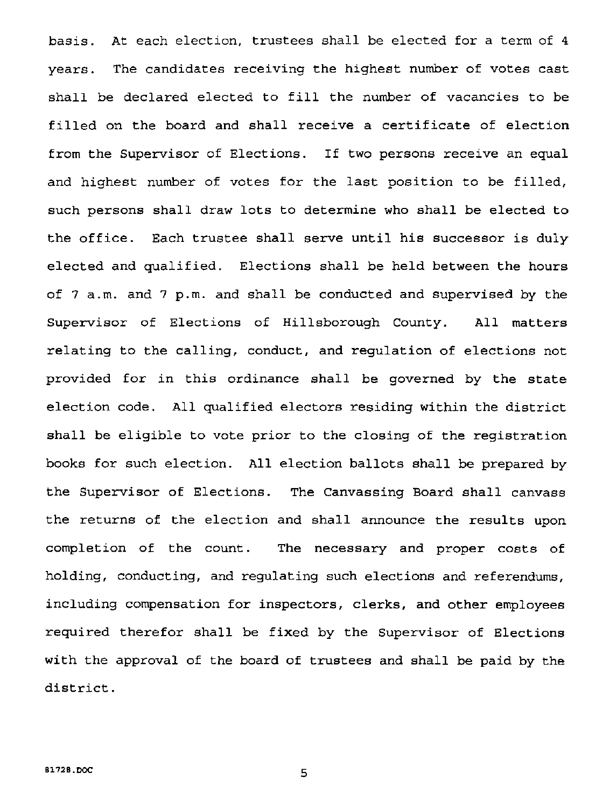basis. At each election, trustees shall be elected for a term of 4 years. The candidates receiving the highest number of votes cast shall be declared elected to fill the number of vacancies to be filled on the board and shall receive a certificate of election from the Supervisor of Elections. If two persons receive an equal and highest number of votes for the last position to be filled, such persons shall draw lots to determine who shall be elected to the office. Each trustee shall serve until his successor is duly elected and qualified. Elections shall be held between the hours of 7 a.m. and 7 p.m. and shall be conducted and supervised by the Supervisor of Elections of Hillsborough County. All matters relating to the calling, conduct, and regulation of elections not provided for in this ordinance shall be governed by the state election code. All qualified electors residing within the district shall be eligible to vote prior to the closing of the registration books for such election. All election ballots shall be prepared by the Supervisor of Elections. The Canvassing Board shall canvass the returns of the election and shall announce the results upon completion of the count. The necessary and proper costs of holding, conducting, and regulating such elections and referendums, including compensation for inspectors, clerks, and other employees required therefor shall be fixed by the Supervisor of Elections with the approval of the board of trustees and shall be paid by the district.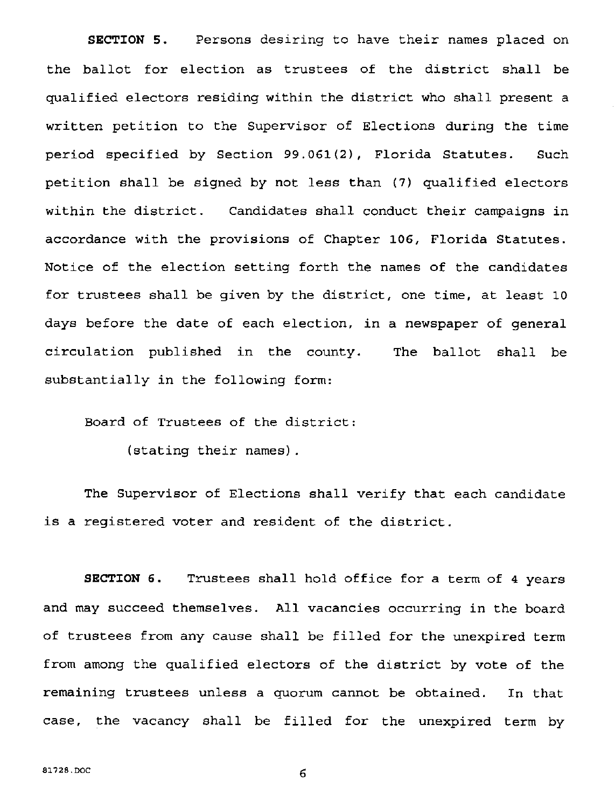**SECTION 5.** Persons desiring to have their names placed on the ballot for election as trustees of the district shall be qualified electors residing within the district who shall present a written petition to the Supervisor of Elections during the time period specified by Section 99.061 (2) , Florida Statutes. Such petition shall be signed by not less than (7) qualified electors within the district. Candidates shall conduct their campaigns in accordance with the provisions of Chapter 106, Florida Statutes. Notice of the election setting forth the names of the candidates for trustees shall be given by the district, one time, at least 10 days before the date of each election, in a newspaper of general circulation published in the county. The ballot shall be substantially in the following form:

Board of Trustees of the district:

(stating their names).

The Supervisor of Elections shall verify that each candidate is a registered voter and resident of the district.

**SECTION 6.** Trustees shall hold office for a term of 4 years and may succeed themselves. All vacancies occurring in the board of trustees from any cause shall be filled for the unexpired term from among the qualified electors of the district by vote of the remaining trustees unless a quorum cannot be obtained. In that case, the vacancy shall be filled for the unexpired term by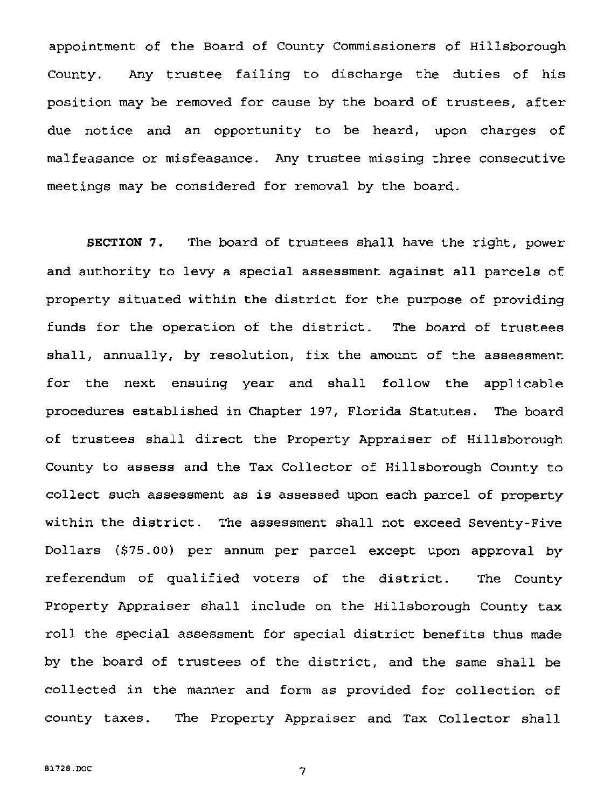appointment of the Board of County Commissioners of Hillsborough County. Any trustee failing to discharge the duties of his position may be removed for cause by the board of trustees, after due notice and an opportunity to be heard, upon charges of malfeasance or misfeasance. Any trustee missing three consecutive meetings may be considered for removal by the board.

**SECTION 7.** The board of trustees shall have the right, power and authority to levy a special assessment against all parcels of property situated within the district for the purpose of providing funds for the operation of the district. The board of trustees shall, annually, by resolution, fix the amount of the assessment for the next ensuing year and shall follow the applicable procedures established in Chapter 197, Florida Statutes. The board of trustees shall direct the Property Appraiser of Hillsborough County to assess and the Tax Collector of Hillsborough County to collect such assessment as is assessed upon each parcel of property within the district. The assessment shall not exceed Seventy-Five Dollars (\$75.00) per annum per parcel except upon approval by referendum of qualified voters of the district. The County Property Appraiser shall include on the Hillsborough County tax roll the special assessment for special district benefits thus made by the board of trustees of the district, and the same shall be collected in the manner and form as provided for collection of county taxes. The Property Appraiser and Tax Collector shall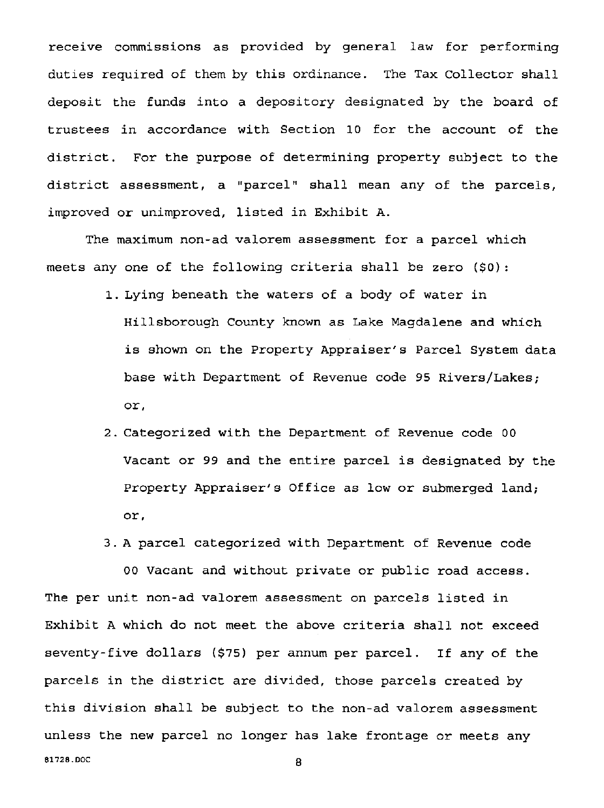receive commissions as provided by general law for performing duties required of them by this ordinance. The Tax Collector shall deposit the funds into a depository designated by the board of trustees in accordance with Section 10 for the account of the district. For the purpose of determining property subject to the district assessment, a "parcel" shall mean any of the parcels, improved or unimproved, listed in Exhibit A.

The maximum non-ad valorem assessment for a parcel which meets any one of the following criteria shall be zero (\$0) :

- 1. Lying beneath the waters of a body of water in Hillsborough County known as Lake Magdalene and which is shown on the Property Appraiser's Parcel System data base with Department of Revenue code 95 Rivers/Lakes; or,
- 2. Categorized with the Department of Revenue code 00 Vacant or 99 and the entire parcel is designated by the Property Appraiser's Office as low or submerged land; or,

3. A parcel categorized with Department of Revenue code

00 Vacant and without private or public road access. The per unit non-ad valorem assessment on parcels listed in Exhibit A which do not meet the above criteria shall not exceed seventy-five dollars (\$75) per annum per parcel. If any of the parcels in the district are divided, those parcels created by this division shall be subject to the non-ad valorem assessment unless the new parcel no longer has lake frontage or meets any **81728.DOC** 8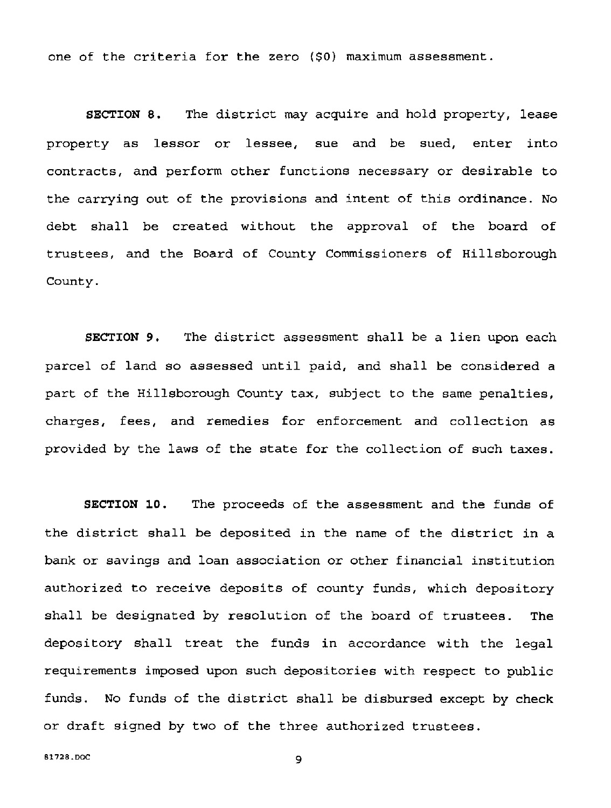one of the criteria for the zero (\$0) maximum assessment.

**SECTION 8.** The district may acquire and hold property, lease property as lessor or lessee, sue and be sued, enter into contracts, and perform other functions necessary or desirable to the carrying out of the provisions and intent of this ordinance. No debt shall be created without the approval of the board of trustees, and the Board of County Commissioners of Hillsborough County.

**SECTION 9.** The district assessment shall be a lien upon each parcel of land so assessed until paid, and shall be considered a part of the Hillsborough County tax, subject to the same penalties, charges, fees, and remedies for enforcement and collection as provided by the laws of the state for the collection of such taxes.

**SECTION 10.** The proceeds of the assessment and the funds of the district shall be deposited *in* the name of the district *in* <sup>a</sup> bank or savings and loan association or other financial institution authorized to receive deposits of county funds, which depository shall be designated by resolution of the board of trustees. The depository shall treat the funds in accordance with the legal requirements imposed upon such depositories with respect to public funds. No funds of the district shall be disbursed except by check or draft signed by two of the three authorized trustees.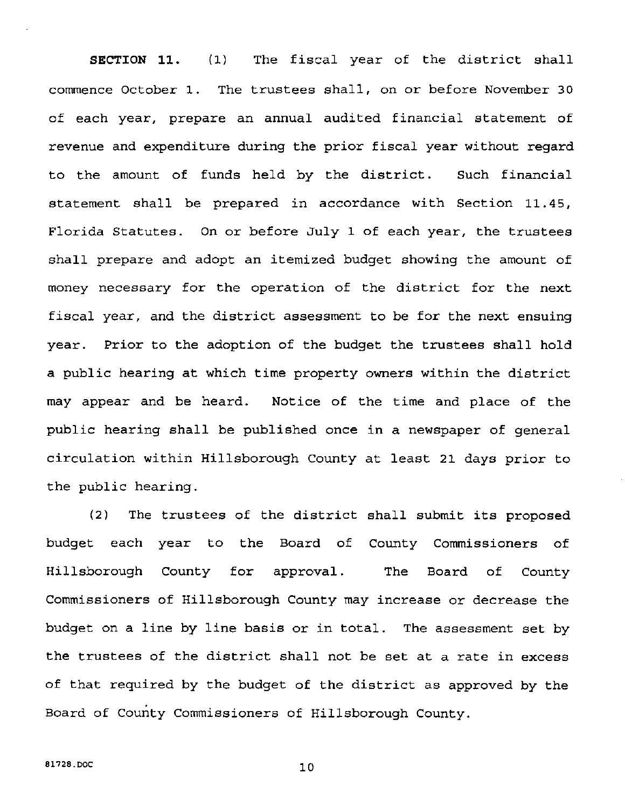**SECTION 11.** (1) The fiscal year of the district shall commence October 1. The trustees shall, on or before November 30 of each year, prepare an annual audited financial statement of revenue and expenditure during the prior fiscal year without regard to the amount of funds held by the district. Such financial statement shall be prepared in accordance with Section 11.45, Florida Statutes. On or before July 1 of each year, the trustees shall prepare and adopt an itemized budget showing the amount of money necessary for the operation of the district for the next fiscal year, and the district assessment to be for the next ensuing year. Prior to the adoption of the budget the trustees shall hold a public hearing at which time property owners within the district may appear and be heard. Notice of the time and place of the public hearing shall be published once in a newspaper of general circulation within Hillsborough County at least 21 days prior to the public hearing.

(2) The trustees of the district shall submit its proposed budget each year to the Board of County Commissioners of Hillsborough County for approval. The Board of County Commissioners of Hillsborough County may increase or decrease the budget on a line by line basis or in total. The assessment set by the trustees of the district shall not be set at a rate in excess of that required by the budget of the district as approved by the Board of County Commissioners of Hillsborough County.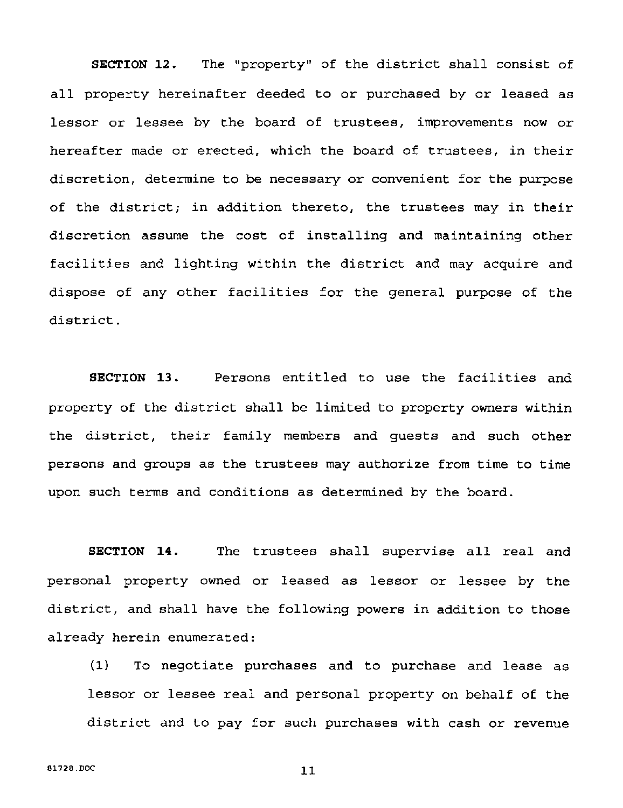**SECTION** 12. The "property" of the district shall consist of all property hereinafter deeded to or purchased by or leased as lessor or lessee by the board of trustees, improvements now or hereafter made or erected, which the board of trustees, in their discretion, determine to be necessary or convenient for the purpose of the district; in addition thereto, the trustees may in their discretion assume the cost of installing and maintaining other facilities and lighting within the district and may acquire and dispose of any other facilities for the general purpose of the district.

**SECTION 13.** Persons entitled to use the facilities and property of the district shall be limited to property owners within the district, their family members and guests and such other persons and groups as the trustees may authorize from time to time upon such terms and conditions as determined by the board.

**SECTION 14.** The trustees shall supervise all real and personal property owned or leased as lessor or lessee by the district, and shall have the following powers in addition to those already herein enumerated:

(1) To negotiate purchases and to purchase and lease as lessor or lessee real and personal property on behalf of the district and to pay for such purchases with cash or revenue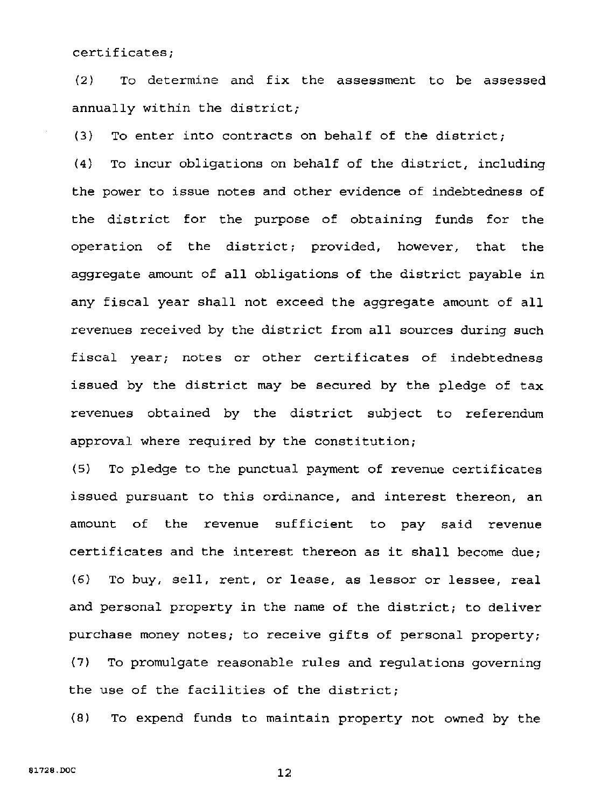certificates;

(2) To determine and fix the assessment to be assessed annually within the district;

(3) To enter into contracts on behalf of the district;

(4) To incur obligations on behalf of the district, including the power to issue notes and other evidence of indebtedness of the district for the purpose of obtaining funds for the operation of the district; provided, however, that the aggregate amount of all obligations of the district payable in any fiscal year shall not exceed the aggregate amount of all revenues received by the district from all sources during such fiscal year; notes or other certificates of indebtedness issued by the district may be secured by the pledge of tax revenues obtained by the district subject to referendum approval where required by the constitution;

(5) To pledge to the punctual payment of revenue certificates issued pursuant to this ordinance, and interest thereon, an amount of the revenue sufficient to pay said revenue certificates and the interest thereon as it shall become due; (6) To buy, sell, rent, or lease, as lessor or lessee, real and personal property in the name of the district; to deliver purchase money notes; to receive gifts of personal property; (7) To promulgate reasonable rules and regulations governing the use of the facilities of the district;

(B) To expend funds to maintain property not owned by the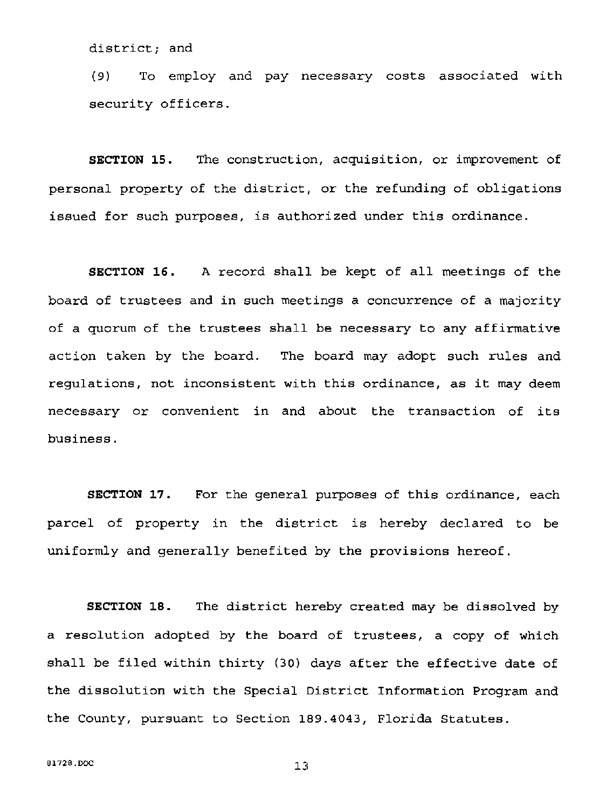district; and

(9) To employ and pay necessary costs associated with security officers.

**SECTION 15.** The construction, acquisition, or improvement of personal property of the district, or the refunding of obligations issued for such purposes, is authorized under this ordinance.

**SECTION 16.** A record shall be kept of all meetings of the board of trustees and in such meetings a concurrence of a majority of a quorum of the trustees shall be necessary to any affirmative action taken by the board. The board may adopt such rules and regulations, not inconsistent with this ordinance, as it may deem necessary or convenient in and about the transaction of its business.

**SECTION 17.** For the general purposes of this ordinance, each parcel of property in the district is hereby declared to be uniformly and generally benefited by the provisions hereof.

**SECTION 18.** The district hereby created may be dissolved by a resolution adopted by the board of trustees, a copy of which shall be filed within thirty (30) days after the effective date of the dissolution with the Special District Information Program and the County, pursuant to Section 189.4043, Florida Statutes.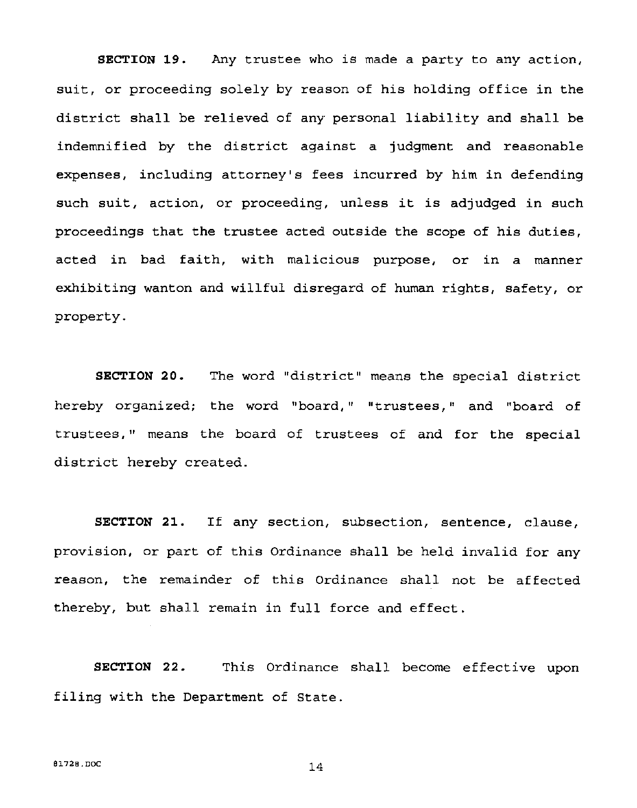**SECTION 19.** Any trustee who is made a party to any action, suit, or proceeding solely by reason of his holding office in the district shall be relieved of any personal liability and shall be indemnified by the district against a judgment and reasonable expenses, including attorney's fees incurred by him in defending such suit, action, or proceeding, unless it is adjudged in such proceedings that the trustee acted outside the scope of his duties, acted in bad faith, with malicious purpose, or in a manner exhibiting wanton and willful disregard of human rights, safety, or property.

**SECTION 20.** The word "district" means the special district **hereby organized; the word "board," "trustees, 11 and "board of**  trustees, " means the board of trustees of and for the special district hereby created.

**SECTION** 21. If any section, subsection, sentence, clause, provision, or part of this Ordinance shall be held invalid for any reason, the remainder of this Ordinance shall not be affected thereby, but shall remain in full force and effect.

**SECTION** 22. This Ordinance shall become effective upon filing with the Department of State.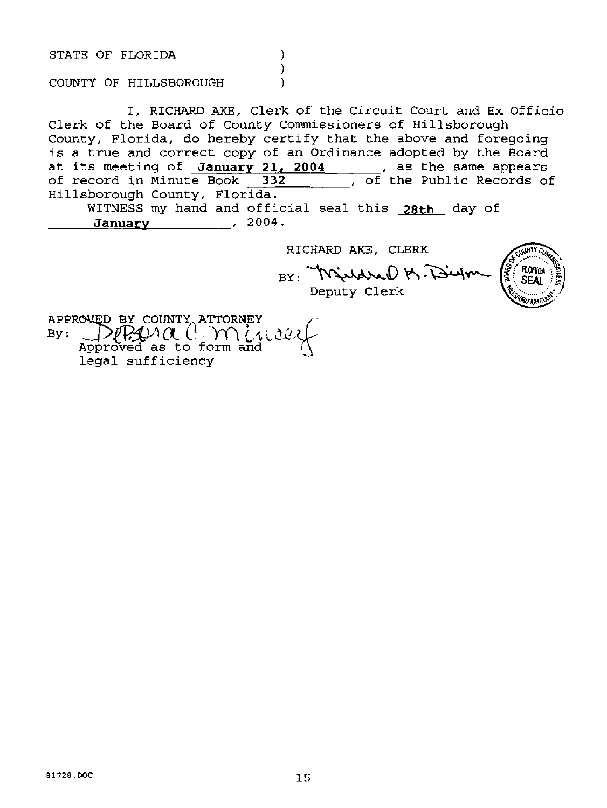STATE OF FLORIDA

COUNTY OF HILLSBOROUGH

I, RICHARD AKE, Clerk of the Circuit Court and Ex Officio Clerk of the Board of County Commissioners of Hillsborough County, Florida, do hereby certify that the above and foregoing is a true and correct copy of an Ordinance adopted by the Board at its meeting of **January 21, 2004** , as the same appears of record in Minute Book **332** , of the Public Records of Hillsborough County, Florida.

WITNESS my hand and official seal this **28th** day of **January** 2004.

 $\lambda$  $\lambda$  $\lambda$ 

RICHARD AKE, CLERK  $_{\rm BY}$  Wildred M. Dign Deputy Clerk



APPROXED BY COUNTY ATTORNEY By:  $\frac{1}{\text{Approved as to form and}}$ legal sufficiency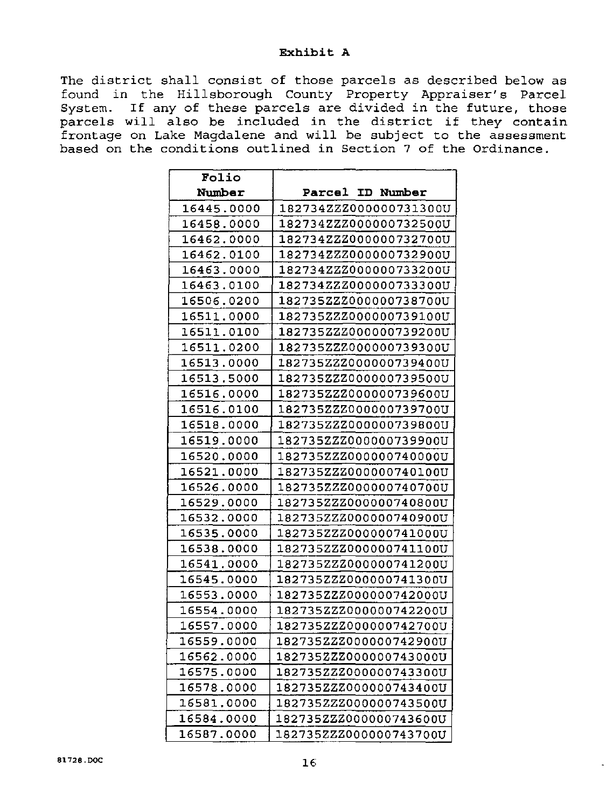### **Exhibit A**

The district shall consist of those parcels as described below as found in the Hillsborough County Property Appraiser's Parcel System. If any of these parcels are divided in the future, those parcels will also be included in the district if they contain frontage on Lake Magdalene and will be subject to the assessment based on the conditions outlined in Section 7 of the Ordinance.

| Folio             |                        |
|-------------------|------------------------|
| Number            | Parcel ID Number       |
| 16445.0000        | 182734ZZZ000000731300U |
| 16458.0000        | 182734ZZZ000000732500U |
| 16462.0000        | 182734ZZZ000000732700U |
| 16462.0100        | 182734ZZZ000000732900U |
| 16463.0000        | 182734ZZZ000000733200U |
| 16463.0100        | 182734ZZZ000000733300U |
| <u>16506.0200</u> | 182735ZZZ000000738700U |
| 16511.0000        | 182735ZZZ000000739100U |
| 16511.0100        | 182735ZZZ000000739200U |
| 16511.0200        | 182735ZZZ000000739300U |
| 16513.0000        | 182735ZZZ000000739400U |
| 16513.5000        | 182735ZZZ000000739500U |
| 16516.0000        | 182735ZZZ000000739600U |
| 16516.0100        | 182735ZZZ000000739700U |
| 16518.0000        | 182735ZZZ000000739800U |
| 16519.0000        | 182735ZZZ000000739900U |
| 16520.0000        | 182735ZZZ000000740000U |
| 16521.0000        | 182735ZZZ000000740100U |
| 16526.0000        | 182735ZZZ000000740700U |
| 16529.0000        | 182735ZZZ000000740800U |
| 16532.0000        | 182735ZZZ000000740900U |
| 16535.0000        | 182735ZZZ000000741000U |
| 16538.0000        | 182735ZZZ000000741100U |
| 16541.0000        | 182735ZZZ000000741200U |
| 16545.0000        | 182735ZZZ000000741300U |
| 16553.0000        | 182735ZZZ000000742000U |
| 16554.0000        | 182735ZZZ000000742200U |
| 16557.0000        | 182735ZZZ000000742700U |
| 16559.0000        | 182735ZZZ000000742900U |
| 16562.0000        | 182735ZZZ000000743000U |
| 16575.0000        | 182735ZZZ000000743300U |
| 16578.0000        | 182735ZZZ000000743400U |
| 16581.0000        | 182735ZZZ000000743500U |
| 16584.0000        | 182735ZZZ000000743600U |
| 16587.0000        | 182735ZZZ000000743700U |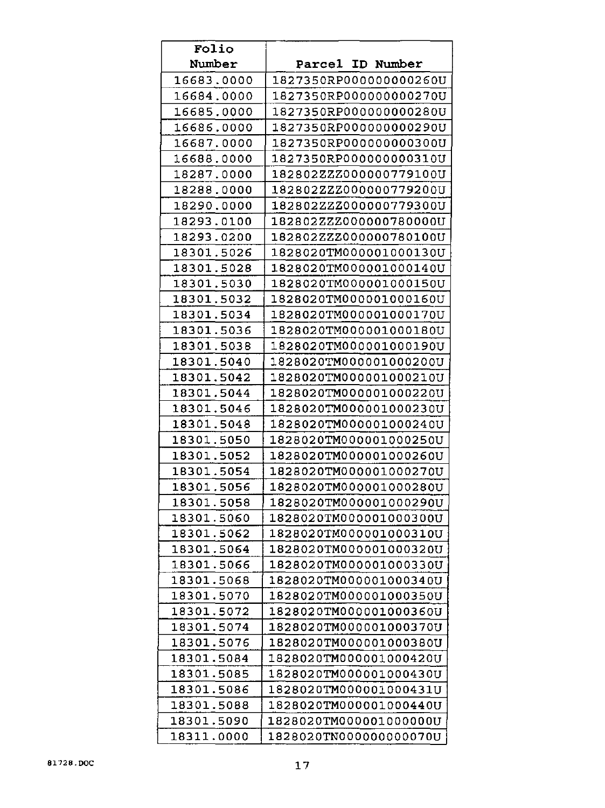| Folio                    |                        |
|--------------------------|------------------------|
| Number                   | Parcel ID Number       |
| 16683.0000               | 1827350RP000000000260U |
| 16684.0000               | 1827350RP000000000270U |
| 16685.0000               | 1827350RP000000000280U |
| 16686.0000               | 1827350RP000000000290U |
| 16687.0000               | 1827350RP000000000300U |
| 16688.0000               | 1827350RP000000000310U |
| 18287.0000               | 182802ZZZ000000779100U |
| 18288.0000               | 182802ZZZ000000779200U |
| 18290.0000               | 182802ZZZ000000779300U |
| 18293.0100               | 182802ZZZ000000780000U |
| 18293.0200               | 182802ZZZ000000780100U |
| 18301.5026               | 1828020TM000001000130U |
| 18301.5028               | 1828020TM000001000140U |
| 18301.5030               | 1828020TM000001000150U |
| 18301.5032               | 1828020TM000001000160U |
| 18301.5034               | 1828020TM000001000170U |
| 18301.5036               | 1828020TM000001000180U |
| 18301.5038               | 1828020TM000001000190U |
| 18301.5040               | 1828020TM000001000200U |
| 18301.5042               | 1828020TM000001000210U |
| 18301.5044               | 1828020TM000001000220U |
| 18301.5046               | 1828020TM000001000230U |
| 18301.5048               | 1828020TM000001000240U |
| 18301.5050               | 1828020TM000001000250U |
| 18301.5052               | 1828020TM000001000260U |
| 18301.5054               | 1828020TM000001000270U |
| 18301.5056               | 1828020TM000001000280U |
| 18301.5058               | 1828020TM000001000290U |
| 18301.5060               | 1828020TM000001000300U |
| 18301.5062               | 1828020TM000001000310U |
| 18301.5064               | 1828020TM000001000320U |
| 18301.5066               | 1828020TM000001000330U |
| 18301.5068               | 1828020TM000001000340U |
| 18301.5070               | 1828020TM000001000350U |
| 18301.5072               | 1828020TM000001000360U |
| 18301.5074               | 1828020TM000001000370U |
| 18301.5076               | 1828020TM000001000380U |
| 18301.5084               | 1828020TM000001000420U |
| 18301.5085               | 1828020TM000001000430U |
| 18301.5086               | 1828020TM000001000431U |
| 18301.5088               | 1828020TM000001000440U |
| 18301.5090<br>18311.0000 | 1828020TM000001000000U |
|                          | 1828020TN000000000070U |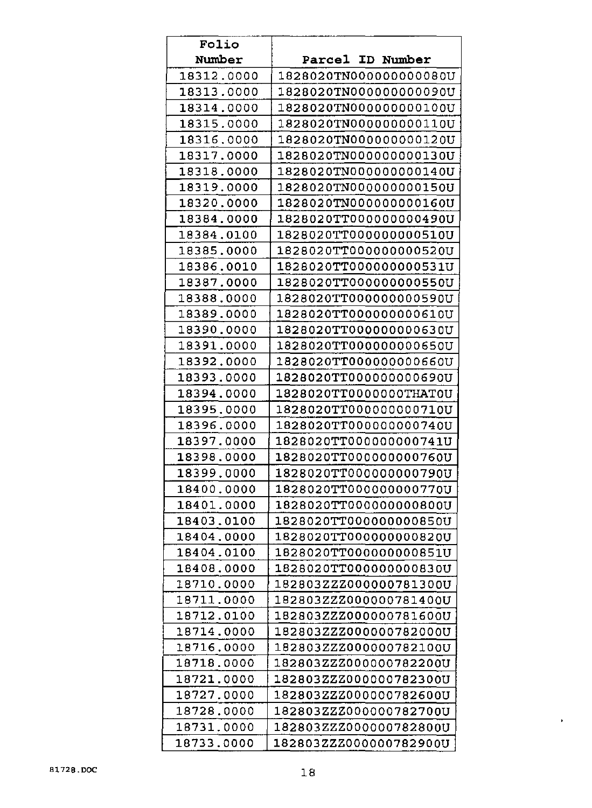| Folio                    |                                                  |
|--------------------------|--------------------------------------------------|
| Number                   | Parcel ID Number                                 |
| 18312.0000               | 1828020TN000000000080U                           |
| 18313.0000               | 1828020TN000000000090U                           |
| 18314.0000               | 1828020TN000000000100U                           |
| 18315.0000               | 1828020TN000000000110U                           |
| 18316.0000               | 1828020TN000000000120U                           |
| 18317.0000               | 1828020TN000000000130U                           |
| 18318.0000               | 1828020TN000000000140U                           |
| 18319.0000               | 1828020TN000000000150U                           |
| 18320.0000               | 1828020TN000000000160U                           |
| 18384.0000               | 1828020TT000000000490U                           |
| 18384.0100               | 1828020TT000000000510U                           |
| 18385.0000               | 1828020TT000000000520U                           |
| 18386.0010               | 1828020TT000000000531U                           |
| 18387.0000               | 1828020TT000000000550U                           |
| 18388.0000               | 1828020TT000000000590U                           |
| 18389.0000               | 1828020TT000000000610U                           |
| 18390.0000               | 1828020TT000000000630U                           |
| 18391.0000               | 1828020TT000000000650U                           |
| 18392.0000               | 1828020TT000000000660U                           |
| 18393.0000               | 1828020TT000000000690U                           |
| 18394,0000               | 1828020TT0000000THAT0U                           |
| 18395.0000               | 1828020TT000000000710U                           |
| 18396.0000               | 1828020TT000000000740U                           |
| 18397.0000               | 1828020TT000000000741U                           |
| 18398.0000               | 1828020TT000000000760U                           |
| 18399.0000               | 1828020TT000000000790U                           |
| 18400.0000               | 1828020TT000000000770U                           |
| 18401.0000               | 1828020TT000000000800U                           |
| 18403.0100               | 1828020TT000000000850U                           |
| 18404.0000               | 1828020TT000000000820U                           |
| 18404.0100               | 1828020TT000000000851U                           |
| 18408.0000               | 1828020TT000000000830U                           |
| 18710.0000               | 182803ZZZ000000781300U<br>182803ZZZ000000781400U |
| 18711.0000<br>18712.0100 |                                                  |
| 18714.0000               | 182803ZZZ000000781600U<br>182803ZZZ000000782000U |
| 18716.0000               | 182803ZZZ000000782100U                           |
| 18718.0000               | 182803ZZZ000000782200U                           |
| 18721.0000               | 182803ZZZ000000782300U                           |
| 18727.0000               | 182803ZZZ000000782600U                           |
| 18728.0000               | 182803ZZZ000000782700U                           |
| 18731.0000               | 182803ZZZ000000782800U                           |
|                          |                                                  |
| 18733.0000               | 182803ZZZ000000782900U                           |

 $\bullet$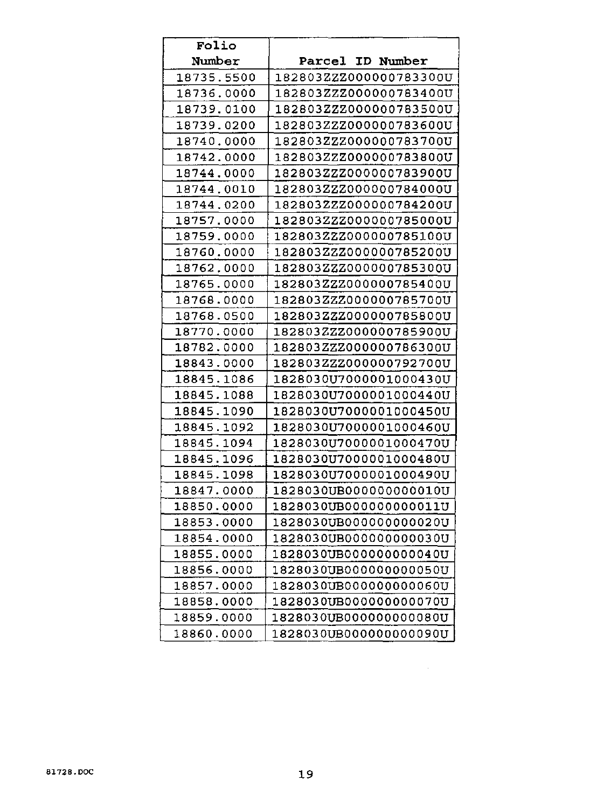| Folio      |                        |
|------------|------------------------|
| Number     | Parcel ID Number       |
| 18735.5500 | 182803ZZZ000000783300U |
| 18736.0000 | 182803ZZZ000000783400U |
| 18739.0100 | 182803ZZZ000000783500U |
| 18739.0200 | 182803ZZZ000000783600U |
| 18740.0000 | 182803ZZZ000000783700U |
| 18742.0000 | 182803ZZZ000000783800U |
| 18744.0000 | 182803ZZZ000000783900U |
| 18744.0010 | 182803ZZZ000000784000U |
| 18744.0200 | 182803ZZZ000000784200U |
| 18757.0000 | 182803ZZZ000000785000U |
| 18759.0000 | 182803ZZZ000000785100U |
| 18760.0000 | 182803ZZZ000000785200U |
| 18762.0000 | 182803ZZZ000000785300U |
| 18765.0000 | 182803ZZZ000000785400U |
| 18768.0000 | 182803ZZZ000000785700U |
| 18768.0500 | 182803ZZZ000000785800U |
| 18770.0000 | 182803ZZZ000000785900U |
| 18782.0000 | 182803ZZZ000000786300U |
| 18843.0000 | 182803ZZZ000000792700U |
| 18845.1086 | 1828030U7000001000430U |
| 18845.1088 | 1828030U7000001000440U |
| 18845.1090 | 1828030U7000001000450U |
| 18845.1092 | 1828030U7000001000460U |
| 18845.1094 | 1828030U7000001000470U |
| 18845.1096 | 1828030U7000001000480U |
| 18845.1098 | 1828030U7000001000490U |
| 18847.0000 | 1828030UB000000000010U |
| 18850.0000 | 1828030UB000000000011U |
| 18853.0000 | 1828030UB000000000020U |
| 18854.0000 | 1828030UB000000000030U |
| 18855.0000 | 1828030UB000000000040U |
| 18856.0000 | 1828030UB000000000050U |
| 18857.0000 | 1828030UB000000000060U |
| 18858.0000 | 1828030UB000000000070U |
| 18859.0000 | 1828030UB000000000080U |
| 18860.0000 | 1828030UB000000000090U |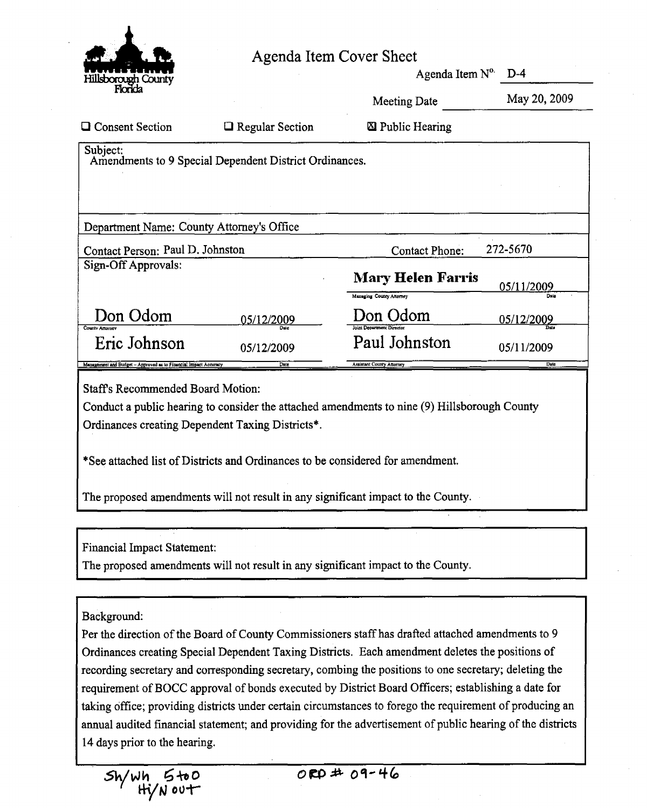

## Agenda Item Cover Sheet

Agenda Item N°· D-4 Agenda Item  $N^{\circ}$  D-4<br>Meeting Date May 20, 2009

|                                                                                  |                                                                                                                                    | <b>Meeting Date</b>                                                                                                                                                              | May 20, 2009       |
|----------------------------------------------------------------------------------|------------------------------------------------------------------------------------------------------------------------------------|----------------------------------------------------------------------------------------------------------------------------------------------------------------------------------|--------------------|
| <b>Q</b> Consent Section                                                         | Regular Section                                                                                                                    | ⊠ Public Hearing                                                                                                                                                                 |                    |
| Subject:                                                                         | Amendments to 9 Special Dependent District Ordinances.                                                                             |                                                                                                                                                                                  |                    |
| Department Name: County Attorney's Office                                        |                                                                                                                                    |                                                                                                                                                                                  |                    |
| Contact Person: Paul D. Johnston                                                 |                                                                                                                                    | <b>Contact Phone:</b>                                                                                                                                                            | 272-5670           |
| Sign-Off Approvals:                                                              |                                                                                                                                    | Mary Helen Farris<br><b>Managing County Attorney</b>                                                                                                                             | 05/11/2009         |
| Don Odom<br>County Attorn                                                        | 05/12/2009                                                                                                                         | Don Odom                                                                                                                                                                         | 05/12/2009         |
| Eric Johnson<br>Management and Budget - Approved as to Financial Impact Accuracy | 05/12/2009<br>Date                                                                                                                 | Paul Johnston<br><b>Assistant County Attorney</b>                                                                                                                                | 05/11/2009<br>Date |
| Staff's Recommended Board Motion:                                                | Ordinances creating Dependent Taxing Districts*.<br>*See attached list of Districts and Ordinances to be considered for amendment. | Conduct a public hearing to consider the attached amendments to nine (9) Hillsborough County<br>The proposed amendments will not result in any significant impact to the County. |                    |
| <b>Financial Impact Statement:</b>                                               |                                                                                                                                    | The proposed amendments will not result in any significant impact to the County.                                                                                                 |                    |
| Background:                                                                      |                                                                                                                                    |                                                                                                                                                                                  |                    |

Per the direction of the Board of County Commissioners staff has drafted attached amendments to 9 Ordinances creating Special Dependent Taxing Districts. Each amendment deletes the positions of recording secretary and corresponding secretary, combing the positions to one secretary; deleting the requirement of BOCC approval of bonds executed by District Board Officers; establishing a date for taking office; providing districts under certain circumstances to forego the requirement of producing an annual audited financial statement; and providing for the advertisement of public hearing of the districts 14 days prior to the hearing.

 $Sh/wh$  5 to 0<br>Hi/N out

 $OP46$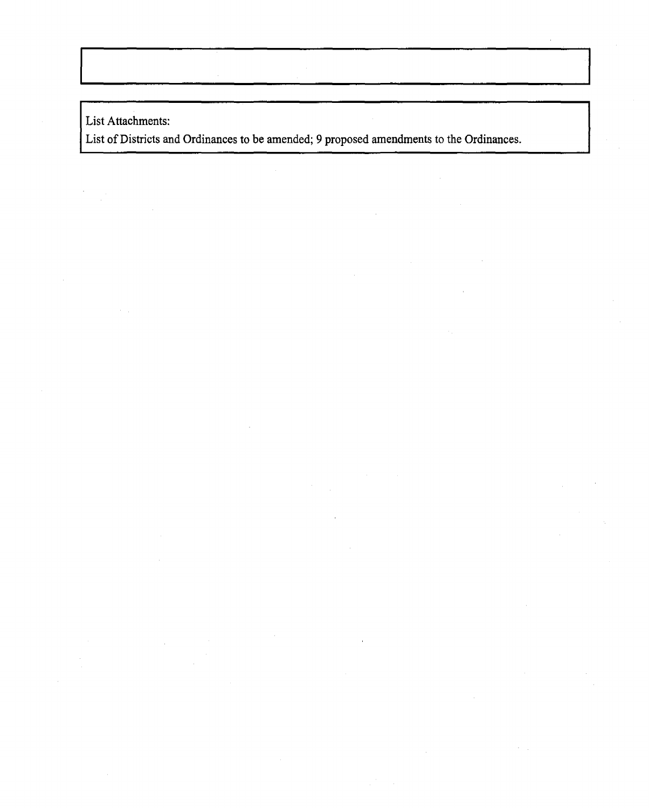List Attachments:

List of Districts and Ordinances to be amended; 9 proposed amendments to the Ordinances.

 $\bar{z}$ 

 $\mathcal{L}^{\mathcal{A}}$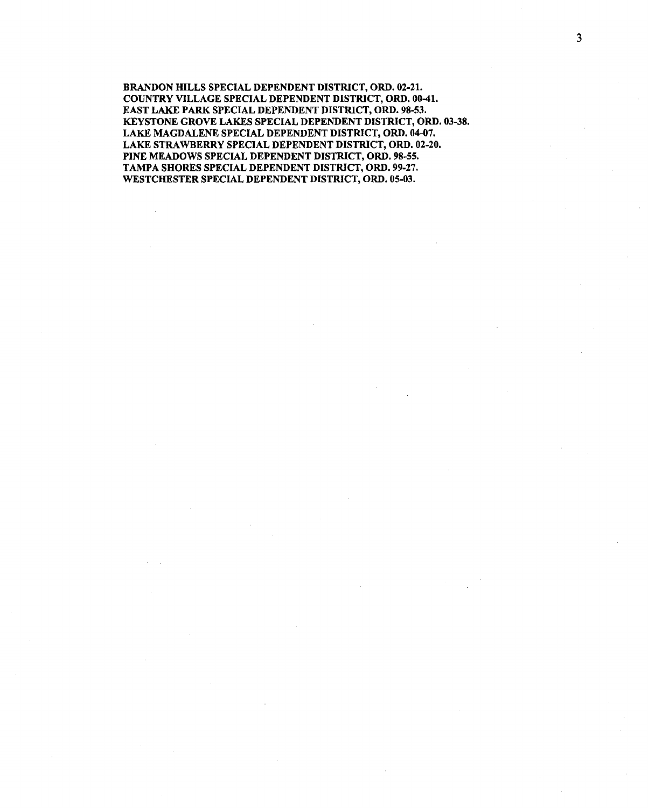BRANDON HILLS SPECIAL DEPENDENT DISTRICT, ORD. 02-21. COUNTRY VILLAGE SPECIAL DEPENDENT DISTRICT, ORD. 00-41. EAST LAKE PARK SPECIAL DEPENDENT DISTRICT, ORD. 98-53. KEYSTONE GROVE LAKES SPECIAL DEPENDENT DISTRICT, ORD. 03-38. LAKE MAGDALENE SPECIAL DEPENDENT DISTRICT, ORD. 04-07. LAKE STRAWBERRY SPECIAL DEPENDENT DISTRICT, ORD. 02-20. PINE MEADOWS SPECIAL DEPENDENT DISTRICT, ORD. 98-55. TAMPA SHORES SPECIAL DEPENDENT DISTRICT, ORD. 99-27. WESTCHESTER SPECIAL DEPENDENT DISTRICT, ORD. 05-03.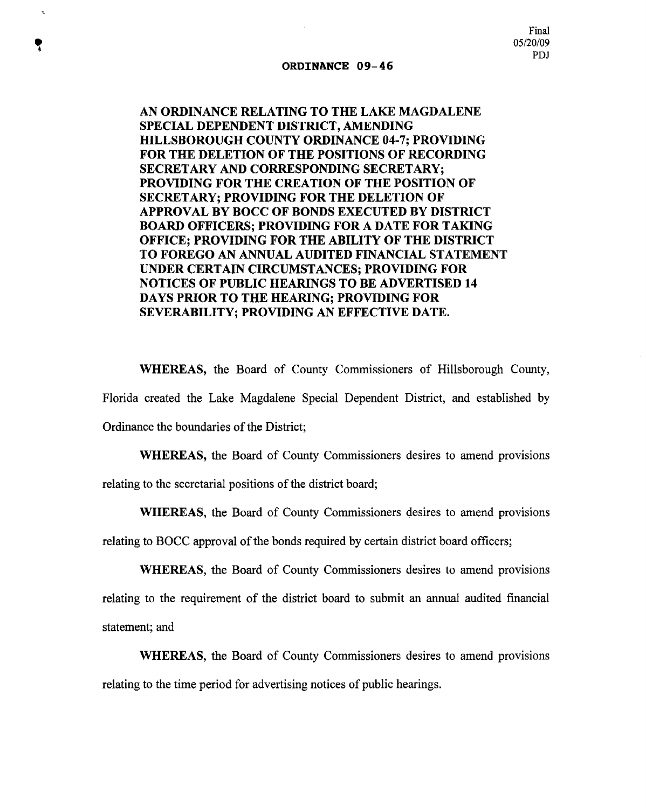AN ORDINANCE RELATING TO THE LAKE MAGDALENE SPECIAL DEPENDENT DISTRICT, AMENDING HILLSBOROUGH COUNTY ORDINANCE 04-7; PROVIDING FOR THE DELETION OF THE POSITIONS OF RECORDING SECRETARY AND CORRESPONDING SECRETARY; PROVIDING FOR THE CREATION OF THE POSITION OF SECRETARY; PROVIDING FOR THE DELETION OF APPROVAL BY BOCC OF BONDS EXECUTED BY DISTRICT BOARD OFFICERS; PROVIDING FOR A DATE FOR TAKING OFFICE; PROVIDING FOR THE ABILITY OF THE DISTRICT TO FOREGO AN ANNUAL AUDITED FINANCIAL STATEMENT UNDER CERTAIN CIRCUMSTANCES; PROVIDING FOR NOTICES OF PUBLIC HEARINGS TO BE ADVERTISED 14 DAYS PRIOR TO THE HEARING; PROVIDING FOR SEVERABILITY; PROVIDING AN EFFECTIVE DATE.

WHEREAS, the Board of County Commissioners of Hillsborough County, Florida created the Lake Magdalene Special Dependent District, and established by Ordinance the boundaries of the District;

WHEREAS, the Board of County Commissioners desires to amend provisions relating to the secretarial positions of the district board;

WHEREAS, the Board of County Commissioners desires to amend provisions

relating to BOCC approval of the bonds required by certain district board officers;

WHEREAS, the Board of County Commissioners desires to amend provisions relating to the requirement of the district board to submit an annual audited financial statement; and

WHEREAS, the Board of County Commissioners desires to amend provisions relating to the time period for advertising notices of public hearings.

٠

 $\epsilon$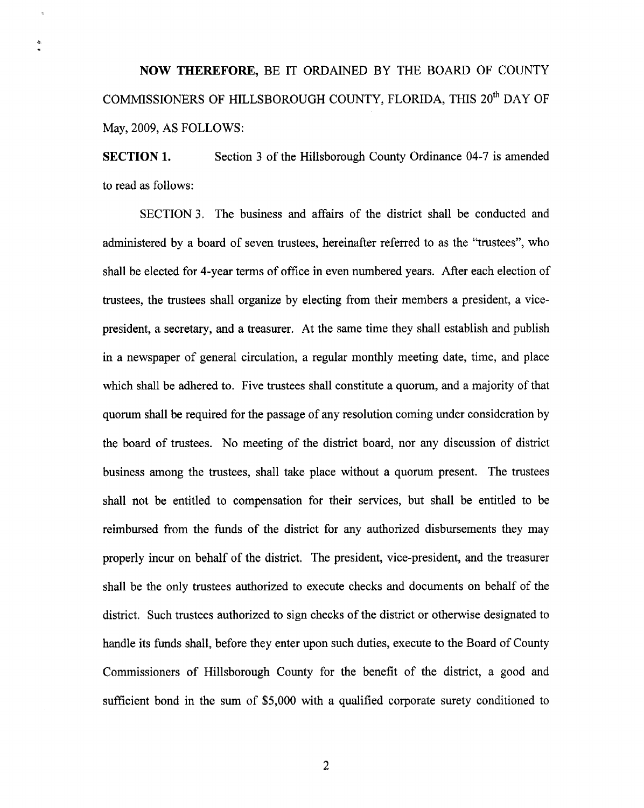**NOW THEREFORE,** BE IT ORDAINED BY THE BOARD OF COUNTY COMMISSIONERS OF HILLSBOROUGH COUNTY, FLORIDA, THIS 20th DAY OF May, 2009, AS FOLLOWS:

雪

**SECTION 1.** Section 3 of the Hillsborough County Ordinance 04-7 is amended to read as follows:

SECTION 3. The business and affairs of the district shall be conducted and administered by a board of seven trustees, hereinafter referred to as the "trustees", who shall be elected for 4-year terms of office in even numbered years. After each election of trustees, the trustees shall organize by electing from their members a president, a vicepresident, a secretary, and a treasurer. At the same time they shall establish and publish in a newspaper of general circulation, a regular monthly meeting date, time, and place which shall be adhered to. Five trustees shall constitute a quorum, and a majority of that quorum shall be required for the passage of any resolution coming under consideration by the board of trustees. No meeting of the district board, nor any discussion of district business among the trustees, shall take place without a quorum present. The trustees shall not be entitled to compensation for their services, but shall be entitled to be reimbursed from the funds of the district for any authorized disbursements they may properly incur on behalf of the district. The president, vice-president, and the treasurer shall be the only trustees authorized to execute checks and documents on behalf of the district. Such trustees authorized to sign checks of the district or otherwise designated to handle its funds shall, before they enter upon such duties, execute to the Board of County Commissioners of Hillsborough County for the benefit of the district, a good and sufficient bond in the sum of \$5,000 with a qualified corporate surety conditioned to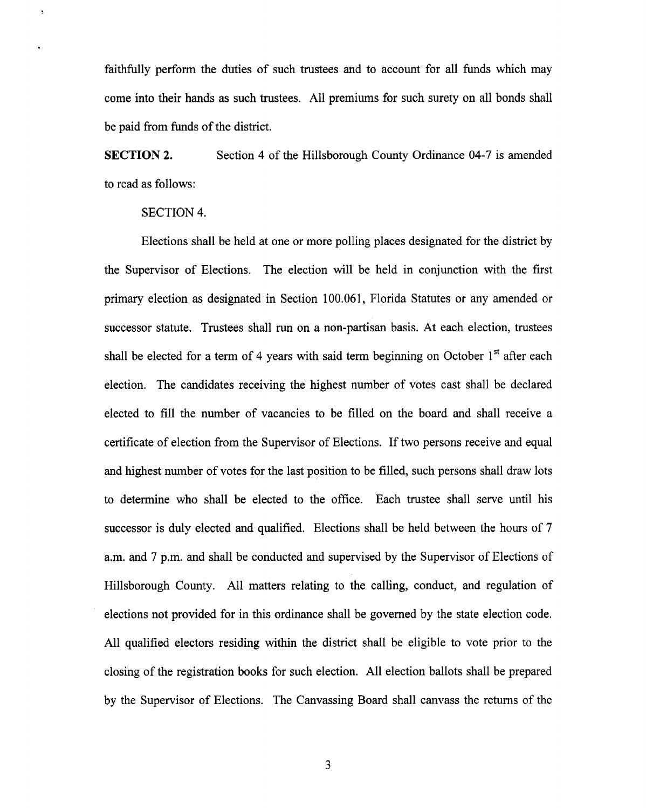faithfully perform the duties of such trustees and to account for all funds which may come into their hands as such trustees. All premiums for such surety on all bonds shall be paid from funds of the district.

**SECTION 2.** Section 4 of the Hillsborough County Ordinance 04-7 is amended to read as follows:

### SECTION 4.

 $\bar{z}$ 

Elections shall be held at one or more polling places designated for the district by the Supervisor of Elections. The election will be held in conjunction with the first primary election as designated in Section 100.061, Florida Statutes or any amended or successor statute. Trustees shall run on a non-partisan basis. At each election, trustees shall be elected for a term of 4 years with said term beginning on October  $1<sup>st</sup>$  after each election. The candidates receiving the highest number of votes cast shall be declared elected to fill the number of vacancies to be filled on the board and shall receive a certificate of election from the Supervisor of Elections. If two persons receive and equal and highest number of votes for the last position to be filled, such persons shall draw lots to determine who shall be elected to the office. Each trustee shall serve until his successor is duly elected and qualified. Elections shall be held between the hours of 7 a.m. and 7 p.m. and shall be conducted and supervised by the Supervisor of Elections of Hillsborough County. All matters relating to the calling, conduct, and regulation of elections not provided for in this ordinance shall be governed by the state election code. All qualified electors residing within the district shall be eligible to vote prior to the closing of the registration books for such election. All election ballots shall be prepared by the Supervisor of Elections. The Canvassing Board shall canvass the returns of the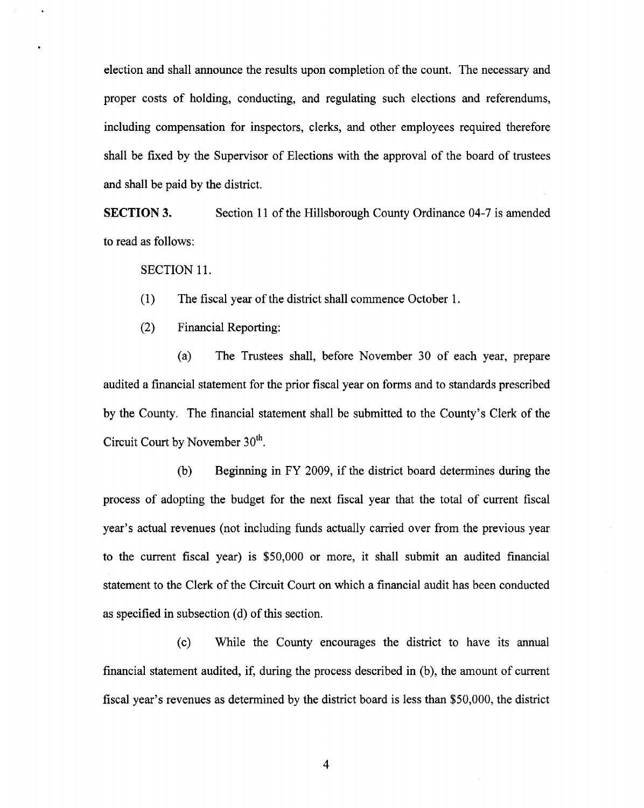election and shall announce the results upon completion of the count. The necessary and proper costs of holding, conducting, and regulating such elections and referendums, including compensation for inspectors, clerks, and other employees required therefore shall be fixed by the Supervisor of Elections with the approval of the board of trustees and shall be paid by the district.

SECTION 3. Section 11 of the Hillsborough County Ordinance 04-7 is amended to read as follows:

SECTION 11.

(1) The fiscal year of the district shall commence October 1.

(2) Financial Reporting:

(a) The Trustees shall, before November 30 of each year, prepare audited a financial statement for the prior fiscal year on forms and to standards prescribed by the County. The financial statement shall be submitted to the County's Clerk of the Circuit Court by November 30<sup>th</sup>.

(b) Beginning in FY 2009, if the district board determines during the process of adopting the budget for the next fiscal year that the total of current fiscal year's actual revenues (not including funds actually carried over from the previous year to the current fiscal year) is \$50,000 or more, it shall submit an audited financial statement to the Clerk of the Circuit Court on which a financial audit has been conducted as specified in subsection (d) of this section.

(c) While the County encourages the district to have its annual financial statement audited, if, during the process described in (b), the amount of current fiscal year's revenues as determined by the district board is less than \$50,000, the district

4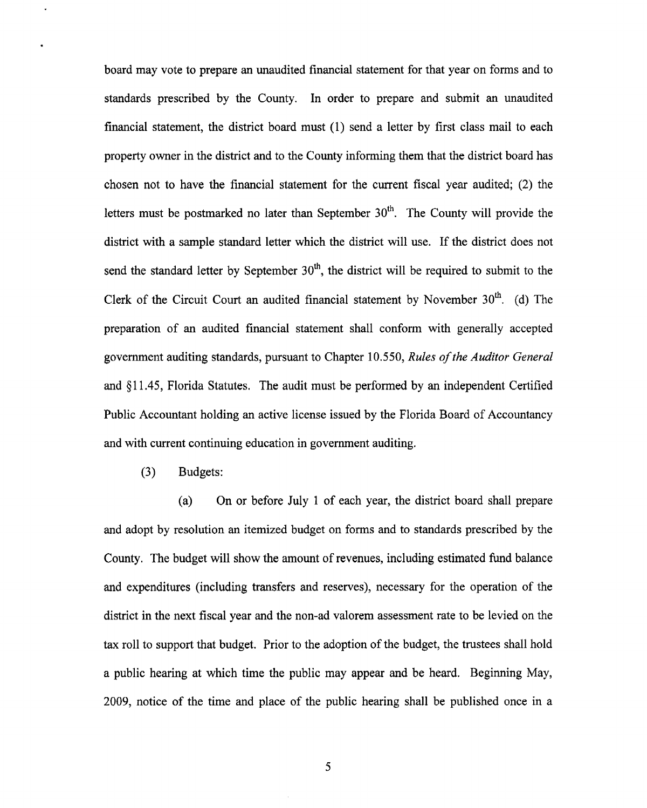board may vote to prepare an unaudited financial statement for that year on forms and to standards prescribed by the County. In order to prepare and submit an unaudited financial statement, the district board must  $(1)$  send a letter by first class mail to each property owner in the district and to the County informing them that the district board has chosen not to have the financial statement for the current fiscal year audited; (2) the letters must be postmarked no later than September  $30<sup>th</sup>$ . The County will provide the district with a sample standard letter which the district will use. If the district does not send the standard letter by September  $30<sup>th</sup>$ , the district will be required to submit to the Clerk of the Circuit Court an audited financial statement by November  $30<sup>th</sup>$ . (d) The preparation of an audited financial statement shall conform with generally accepted government auditing standards, pursuant to Chapter 10.550, *Rules of the Auditor General*  and § 11.45, Florida Statutes. The audit must be performed by an independent Certified Public Accountant holding an active license issued by the Florida Board of Accountancy and with current continuing education in government auditing.

(3) Budgets:

(a) On or before July 1 of each year, the district board shall prepare and adopt by resolution an itemized budget on forms and to standards prescribed by the County. The budget will show the amount of revenues, including estimated fund balance and expenditures (including transfers and reserves), necessary for the operation of the district in the next fiscal year and the non-ad valorem assessment rate to be levied on the tax roll to support that budget. Prior to the adoption of the budget, the trustees shall hold a public hearing at which time the public may appear and be heard. Beginning May, 2009, notice of the time and place of the public hearing shall be published once in a

5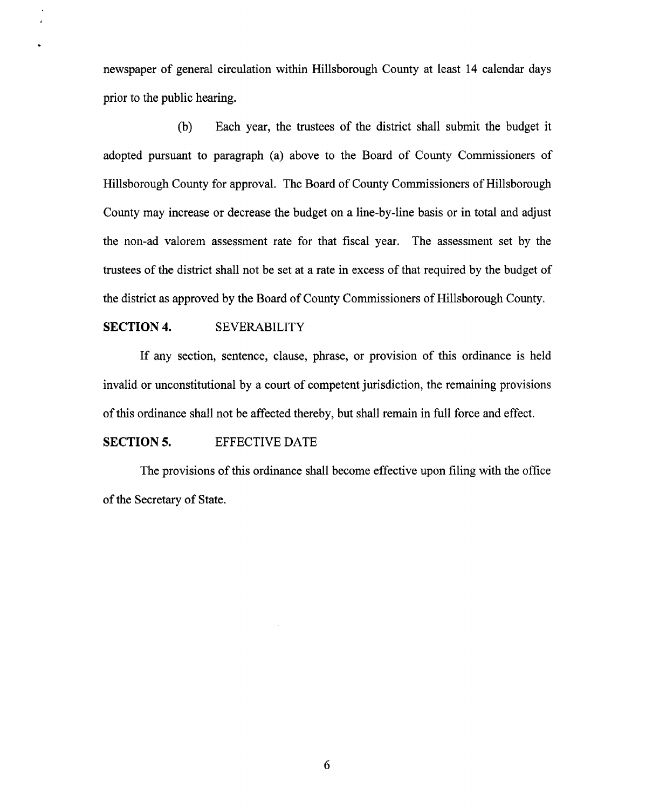newspaper of general circulation within Hillsborough County at least 14 calendar days prior to the public hearing.

(b) Each year, the trustees of the district shall submit the budget it adopted pursuant to paragraph (a) above to the Board of County Commissioners of Hillsborough County for approval. The Board of County Commissioners of Hillsborough County may increase or decrease the budget on a line-by-line basis or in total and adjust the non-ad valorem assessment rate for that fiscal year. The assessment set by the trustees of the district shall not be set at a rate in excess of that required by the budget of the district as approved by the Board of County Commissioners of Hillsborough County.

#### **SECTION 4.** SEVERABILITY

If any section, sentence, clause, phrase, or provision of this ordinance is held invalid or unconstitutional by a court of competent jurisdiction, the remaining provisions of this ordinance shall not be affected thereby, but shall remain in full force and effect.

## **SECTION 5.** EFFECTIVE DATE

The provisions of this ordinance shall become effective upon filing with the office of the Secretary of State.

6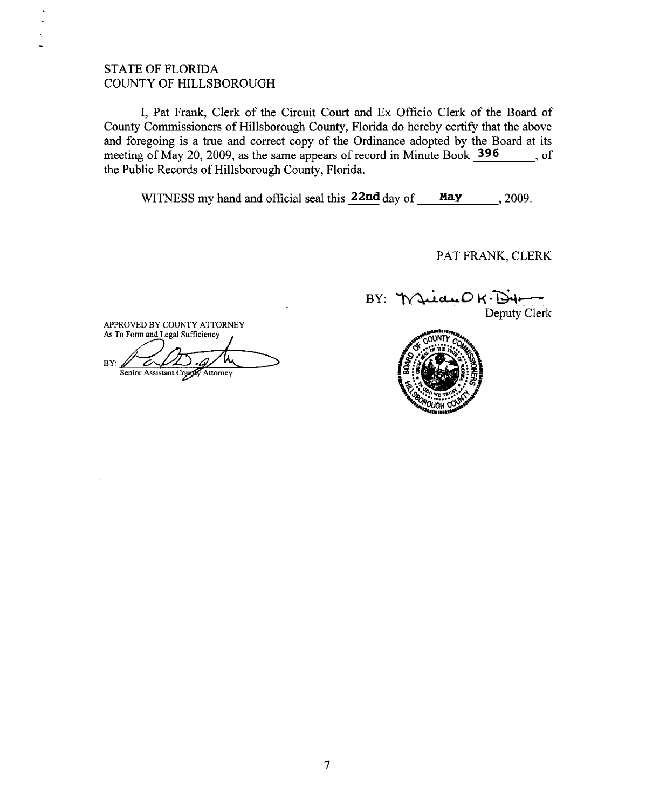## STATE OF FLORIDA COUNTY OF HILLSBOROUGH

 $\ddot{\phantom{1}}$ 

I, Pat Frank, Clerk of the Circuit Court and Ex Officio Clerk of the Board of County Commissioners of Hillsborough County, Florida do hereby certify that the above and foregoing is a true and correct copy of the Ordinance adopted by the Board at its meeting of May 20, 2009, as the same appears of record in Minute Book 396 , of the Public Records of Hillsborough County, Florida.

WITNESS my hand and official seal this  $22nd$  day of May  $\qquad \qquad$ , 2009.

PAT FRANK, CLERK

BY: WiduOK D4



APPROVED BY COUNTY ATTORNEY<br>As To Form and Legal Sufficiency

ʹͶ  $BY:$ Senior Assistant County Attorney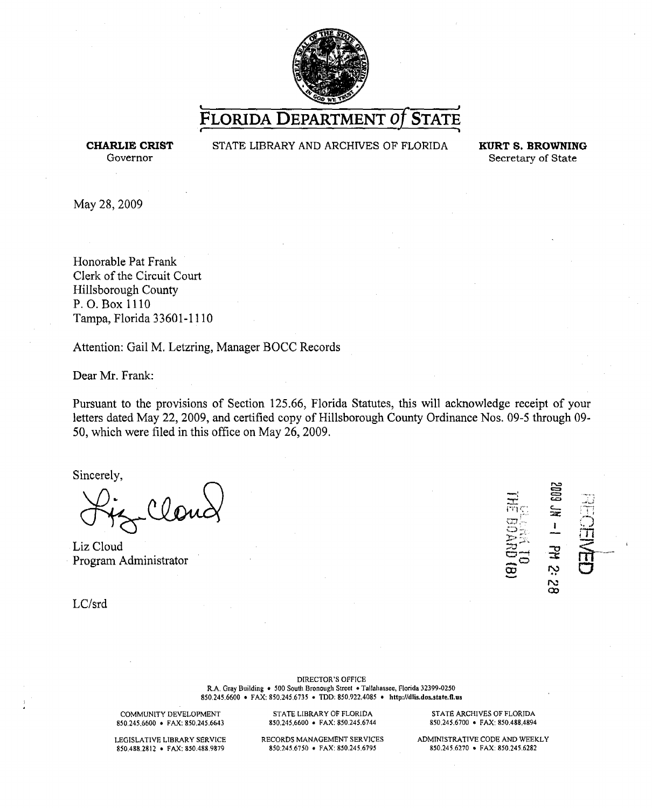

**FLORIDA DEPARTMENT of STATE** 

**CHARLIE CRIST**  Governor

STATE LIBRARY AND ARCHIVES OF FLORIDA **KURT S. BROWNING** 

Secretary of State

May 28,2009

Honorable Pat Frank Clerk of the Circuit Court Hillsborough County P. 0. Box 1110 Tampa, Florida 33601-1110

Attention: Gail M. Letzring, Manager BOCC Records

Dear Mr. Frank:

Pursuant to the provisions of Section 125.66, Florida Statutes, this will acknowledge receipt of your letters dated May 22, 2009, and certified copy of Hillsborough County Ordinance Nos. 09-5 through 09- 50, which were filed in this office on May 26, 2009.

Sincerely,

Liz Cloud Program Administrator

 $\equiv$  $\mathbb{R}$ : :.:q:~::  $\Xi^ \sim$ **:::o**   $\Xi^-_1$  $\Xi$ a $\Xi$  $\overline{\mathbf{\infty}}$  $\bf\Xi$ r 600 *=-=*  I .<br>უ  $\mathbf{r}$ ب N  $\bar{\mathbf{c}}$  $\left( \begin{array}{c} \uparrow \uparrow \uparrow \end{array} \right)$  $\overline{\mathcal{H}}$  $~\Omega~$  $\overline{\overline{\square}}$  $-$ **CJ** 

 $\simeq$ 

-" *--•0'-...A* 

LC/srd

DIRECTOR'S OFFICE R.A. Gray Building • 500 South Bronough Street • Tallahassee, Florida 32399-0250 850.245.6600 • FAX: 850.245.6735 • TOO: 850.922.4085 • http://dlis.dos.state.tl.us

COMMUNITY DEVELOPMENT 850.245.6600 • FAX: 850.245.6643

LEGISLATIVE LIBRARY SERVICE 850.488\_2812 • FAX: 850.488.9879

STATE LIBRARY OF FLORIDA 850.245.6600 • FAX: 850.245.6744

RECORDS MANAGEMENT SERVICES 850:245\_6750 • FAX: 850.245.6795

STATE ARCHIVES OF FLORIDA 850.245.6700 • FAX: 850.488.4894

ADMINISTRATIVE CODE AND WEEKLY 850.245.6270 • FAX: 850.245.6282